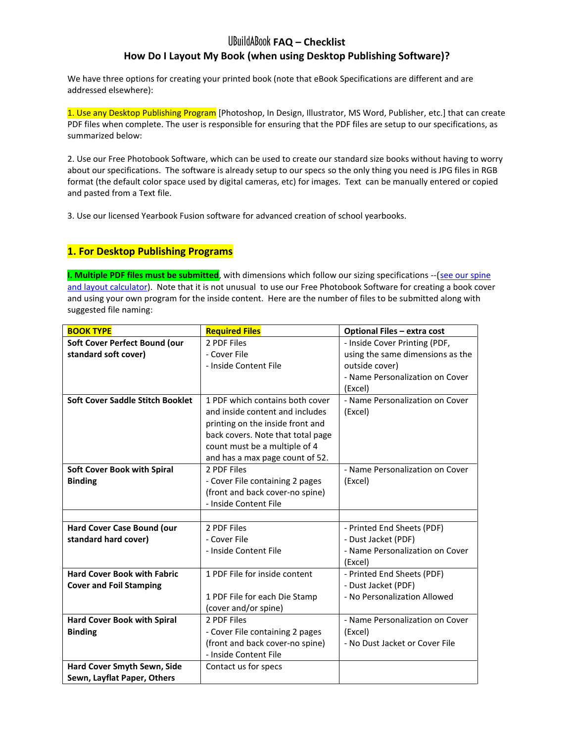# UBuildABook **FAQ – Checklist**

## **How Do I Layout My Book (when using Desktop Publishing Software)?**

We have three options for creating your printed book (note that eBook Specifications are different and are addressed elsewhere):

1. Use any Desktop Publishing Program [Photoshop, In Design, Illustrator, MS Word, Publisher, etc.] that can create PDF files when complete. The user is responsible for ensuring that the PDF files are setup to our specifications, as summarized below:

2. Use our Free Photobook Software, which can be used to create our standard size books without having to worry about our specifications. The software is already setup to our specs so the only thing you need is JPG files in RGB format (the default color space used by digital cameras, etc) for images. Text can be manually entered or copied and pasted from a Text file.

3. Use our licensed Yearbook Fusion software for advanced creation of school yearbooks.

## **1. For Desktop Publishing Programs**

**I. Multiple PDF files must be submitted**, with dimensions which follow our sizing specifications --([see our spine](http://www.ubuildabook.com/layout/spine_calculator.html)  [and layout calculator\)](http://www.ubuildabook.com/layout/spine_calculator.html). Note that it is not unusual to use our Free Photobook Software for creating a book cover and using your own program for the inside content. Here are the number of files to be submitted along with suggested file naming:

| <b>BOOK TYPE</b>                   | <b>Required Files</b>             | <b>Optional Files - extra cost</b> |
|------------------------------------|-----------------------------------|------------------------------------|
| Soft Cover Perfect Bound (our      | 2 PDF Files                       | - Inside Cover Printing (PDF,      |
| standard soft cover)               | - Cover File                      | using the same dimensions as the   |
|                                    | - Inside Content File             | outside cover)                     |
|                                    |                                   | - Name Personalization on Cover    |
|                                    |                                   | (Excel)                            |
| Soft Cover Saddle Stitch Booklet   | 1 PDF which contains both cover   | - Name Personalization on Cover    |
|                                    | and inside content and includes   | (Excel)                            |
|                                    | printing on the inside front and  |                                    |
|                                    | back covers. Note that total page |                                    |
|                                    | count must be a multiple of 4     |                                    |
|                                    | and has a max page count of 52.   |                                    |
| <b>Soft Cover Book with Spiral</b> | 2 PDF Files                       | - Name Personalization on Cover    |
| <b>Binding</b>                     | - Cover File containing 2 pages   | (Excel)                            |
|                                    | (front and back cover-no spine)   |                                    |
|                                    | - Inside Content File             |                                    |
|                                    |                                   |                                    |
| Hard Cover Case Bound (our         | 2 PDF Files                       | - Printed End Sheets (PDF)         |
| standard hard cover)               | - Cover File                      | - Dust Jacket (PDF)                |
|                                    | - Inside Content File             | - Name Personalization on Cover    |
|                                    |                                   | (Excel)                            |
| <b>Hard Cover Book with Fabric</b> | 1 PDF File for inside content     | - Printed End Sheets (PDF)         |
| <b>Cover and Foil Stamping</b>     |                                   | - Dust Jacket (PDF)                |
|                                    | 1 PDF File for each Die Stamp     | - No Personalization Allowed       |
|                                    | (cover and/or spine)              |                                    |
| <b>Hard Cover Book with Spiral</b> | 2 PDF Files                       | - Name Personalization on Cover    |
| <b>Binding</b>                     | - Cover File containing 2 pages   | (Excel)                            |
|                                    | (front and back cover-no spine)   | - No Dust Jacket or Cover File     |
|                                    | - Inside Content File             |                                    |
| Hard Cover Smyth Sewn, Side        | Contact us for specs              |                                    |
| Sewn, Layflat Paper, Others        |                                   |                                    |